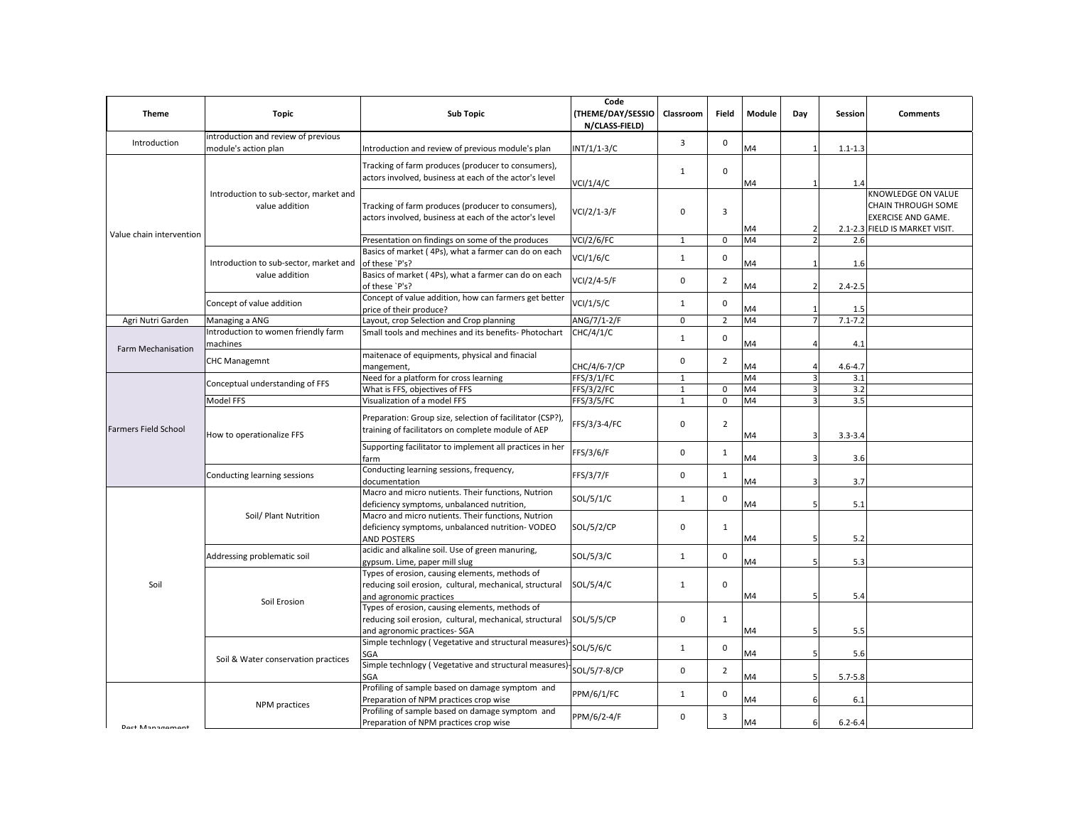| <b>Theme</b>                | <b>Topic</b>                                                | <b>Sub Topic</b>                                                                                                                         | Code<br><b>(THEME/DAY/SESSIO</b><br>N/CLASS-FIELD) | Classroom    | Field          | Module | Day                      | Session     | <b>Comments</b>                                                                                         |
|-----------------------------|-------------------------------------------------------------|------------------------------------------------------------------------------------------------------------------------------------------|----------------------------------------------------|--------------|----------------|--------|--------------------------|-------------|---------------------------------------------------------------------------------------------------------|
| Introduction                | introduction and review of previous<br>module's action plan | Introduction and review of previous module's plan                                                                                        | INT/1/1-3/C                                        | 3            | $\mathbf 0$    | M4     |                          | $1.1 - 1.3$ |                                                                                                         |
| Value chain intervention    |                                                             | Tracking of farm produces (producer to consumers),<br>actors involved, business at each of the actor's level                             | VCI/1/4/C                                          | $\mathbf{1}$ | $\mathbf 0$    | M4     |                          | 1.4         |                                                                                                         |
|                             | Introduction to sub-sector, market and<br>value addition    | Tracking of farm produces (producer to consumers),<br>actors involved, business at each of the actor's level                             | VCI/2/1-3/F                                        | $\mathbf 0$  | 3              | M4     | 2                        |             | KNOWLEDGE ON VALUE<br>CHAIN THROUGH SOME<br><b>EXERCISE AND GAME.</b><br>2.1-2.3 FIELD IS MARKET VISIT. |
|                             |                                                             | Presentation on findings on some of the produces                                                                                         | <b>VCI/2/6/FC</b>                                  | 1            | $\mathbf 0$    | M4     | 2                        | 2.6         |                                                                                                         |
|                             |                                                             | Basics of market (4Ps), what a farmer can do on each                                                                                     |                                                    |              |                |        |                          |             |                                                                                                         |
|                             | Introduction to sub-sector, market and                      | of these `P's?                                                                                                                           | VCI/1/6/C                                          | 1            | $\mathbf 0$    | M4     |                          | 1.6         |                                                                                                         |
|                             | value addition                                              | Basics of market (4Ps), what a farmer can do on each<br>of these `P's?                                                                   | VCI/2/4-5/F                                        |              | $\overline{2}$ | M4     | $\overline{\phantom{a}}$ | $2.4 - 2.5$ |                                                                                                         |
|                             | Concept of value addition                                   | Concept of value addition, how can farmers get better<br>price of their produce?                                                         | <b>VCI/1/5/C</b>                                   | $\mathbf{1}$ | $\mathbf 0$    | M4     |                          | 1.5         |                                                                                                         |
| Agri Nutri Garden           | Managing a ANG                                              | Layout, crop Selection and Crop planning                                                                                                 | ANG/7/1-2/F                                        | 0            | $\overline{2}$ | M4     | $\overline{7}$           | $7.1 - 7.2$ |                                                                                                         |
| Farm Mechanisation          | Introduction to women friendly farm<br>machines             | Small tools and mechines and its benefits- Photochart                                                                                    | CHC/4/1/C                                          | $\mathbf 1$  | $\pmb{0}$      | M4     |                          | 4.1         |                                                                                                         |
|                             | <b>CHC Managemnt</b>                                        | maitenace of equipments, physical and finacial<br>mangement,                                                                             | CHC/4/6-7/CP                                       | $\Omega$     | $\overline{2}$ | M4     |                          | $4.6 - 4.7$ |                                                                                                         |
|                             | Conceptual understanding of FFS                             | Need for a platform for cross learning                                                                                                   | FFS/3/1/FC                                         | $\mathbf{1}$ |                | M4     | 3                        | 3.1         |                                                                                                         |
|                             |                                                             | What is FFS, objectives of FFS                                                                                                           | FFS/3/2/FC                                         | $\mathbf{1}$ | $\mathbf 0$    | M4     |                          | 3.2         |                                                                                                         |
|                             | Model FFS                                                   | Visualization of a model FFS                                                                                                             | FFS/3/5/FC                                         | $\mathbf 1$  | $\Omega$       | M4     |                          | 3.5         |                                                                                                         |
| <b>Farmers Field School</b> | How to operationalize FFS                                   | Preparation: Group size, selection of facilitator (CSP?),<br>training of facilitators on complete module of AEP                          | FFS/3/3-4/FC                                       | $\mathbf 0$  | $\overline{2}$ | M4     | з                        | $3.3 - 3.4$ |                                                                                                         |
|                             |                                                             | Supporting facilitator to implement all practices in her<br>farm                                                                         | FFS/3/6/F                                          | $\mathbf 0$  | $\mathbf{1}$   | M4     | 3                        | 3.6         |                                                                                                         |
|                             | Conducting learning sessions                                | Conducting learning sessions, frequency,<br>documentation                                                                                | FFS/3/7/F                                          | $\Omega$     | $\mathbf{1}$   | M4     | 3                        | 3.7         |                                                                                                         |
| Soil                        | Soil/ Plant Nutrition                                       | Macro and micro nutients. Their functions, Nutrion<br>deficiency symptoms, unbalanced nutrition,                                         | SOL/5/1/C                                          | $\mathbf{1}$ | $\mathbf 0$    | M4     |                          | 5.1         |                                                                                                         |
|                             |                                                             | Macro and micro nutients. Their functions, Nutrion<br>deficiency symptoms, unbalanced nutrition- VODEO<br><b>AND POSTERS</b>             | SOL/5/2/CP                                         | $\mathbf 0$  | $\mathbf{1}$   | M4     |                          | 5.2         |                                                                                                         |
|                             | Addressing problematic soil                                 | acidic and alkaline soil. Use of green manuring,<br>gypsum. Lime, paper mill slug                                                        | SOL/5/3/C                                          | $\mathbf{1}$ | $\mathbf 0$    | M4     |                          | 5.3         |                                                                                                         |
|                             | Soil Erosion                                                | Types of erosion, causing elements, methods of<br>reducing soil erosion, cultural, mechanical, structural<br>and agronomic practices     | SOL/5/4/C                                          | $\mathbf{1}$ | $\mathbf 0$    | M4     |                          | 5.4         |                                                                                                         |
|                             |                                                             | Types of erosion, causing elements, methods of<br>reducing soil erosion, cultural, mechanical, structural<br>and agronomic practices-SGA | <b>SOL/5/5/CP</b>                                  | $\mathbf 0$  | $\mathbf{1}$   | M4     |                          | 5.5         |                                                                                                         |
|                             | Soil & Water conservation practices                         | Simple technlogy (Vegetative and structural measures)<br>SGA                                                                             | SOL/5/6/C                                          | $\mathbf{1}$ | $\mathbf 0$    | M4     | 5                        | 5.6         |                                                                                                         |
|                             |                                                             | Simple technlogy (Vegetative and structural measures)<br>SGA                                                                             | SOL/5/7-8/CP                                       | $\mathbf 0$  | $\overline{2}$ | M4     |                          | $5.7 - 5.8$ |                                                                                                         |
|                             | NPM practices                                               | Profiling of sample based on damage symptom and<br>Preparation of NPM practices crop wise                                                | PPM/6/1/FC                                         | $\mathbf{1}$ | $\mathsf 0$    | M4     |                          | 6.1         |                                                                                                         |
| <b>Post Management</b>      |                                                             | Profiling of sample based on damage symptom and<br>Preparation of NPM practices crop wise                                                | PPM/6/2-4/F                                        | $\Omega$     | 3              | M4     | 6                        | $6.2 - 6.4$ |                                                                                                         |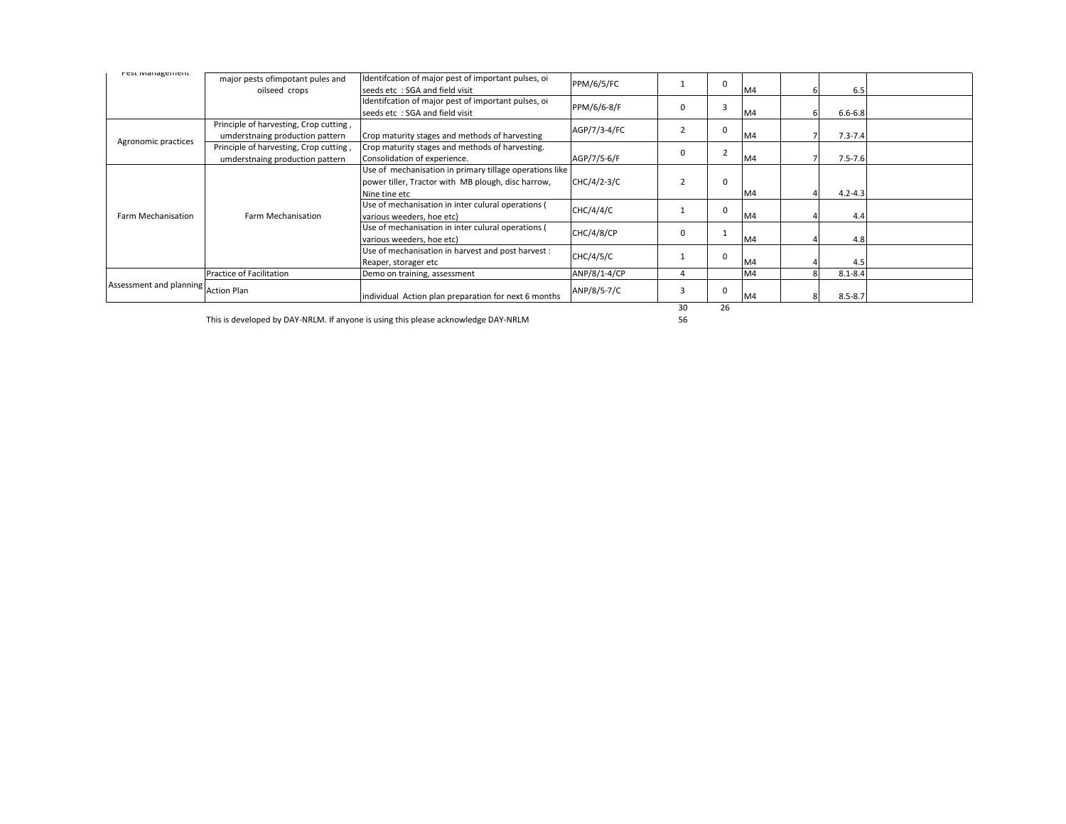| nest ividitagement                  |                                        |                                                         |                   |  |          |    |   |             |  |
|-------------------------------------|----------------------------------------|---------------------------------------------------------|-------------------|--|----------|----|---|-------------|--|
|                                     | major pests of impotant pules and      | Identifcation of major pest of important pulses, oi     | <b>PPM/6/5/FC</b> |  | 0        |    |   |             |  |
|                                     | oilseed crops                          | seeds etc: SGA and field visit                          |                   |  |          | M4 |   | 6.5         |  |
|                                     |                                        | Identifcation of major pest of important pulses, oi     | PPM/6/6-8/F       |  | З        |    |   |             |  |
|                                     |                                        | seeds etc: SGA and field visit                          |                   |  |          | M4 |   | $6.6 - 6.8$ |  |
| Agronomic practices                 | Principle of harvesting, Crop cutting, |                                                         |                   |  |          |    |   |             |  |
|                                     | umderstnaing production pattern        | Crop maturity stages and methods of harvesting          | AGP/7/3-4/FC      |  | O        | M4 |   | $7.3 - 7.4$ |  |
|                                     | Principle of harvesting, Crop cutting, | Crop maturity stages and methods of harvesting.         | AGP/7/5-6/F       |  |          |    |   |             |  |
|                                     | umderstnaing production pattern        | Consolidation of experience.                            |                   |  |          | M4 |   | $7.5 - 7.6$ |  |
| Farm Mechanisation                  | Farm Mechanisation                     | Use of mechanisation in primary tillage operations like |                   |  |          |    |   |             |  |
|                                     |                                        | power tiller. Tractor with MB plough, disc harrow,      | $CHC/4/2-3/C$     |  | $\Omega$ |    |   |             |  |
|                                     |                                        | Nine tine etc                                           |                   |  |          | M4 |   | $4.2 - 4.3$ |  |
|                                     |                                        | Use of mechanisation in inter culural operations (      | CHC/4/4/C         |  | 0        |    |   |             |  |
|                                     |                                        | various weeders, hoe etc)                               |                   |  |          | M4 |   | 4.4         |  |
|                                     |                                        | Use of mechanisation in inter culural operations (      | <b>CHC/4/8/CP</b> |  |          |    |   |             |  |
|                                     |                                        | various weeders, hoe etc)                               |                   |  |          | M4 |   | 4.8         |  |
|                                     |                                        | Use of mechanisation in harvest and post harvest:       | CHC/4/5/C         |  | 0        |    |   |             |  |
|                                     |                                        | Reaper, storager etc                                    |                   |  |          | M4 |   | 4.5         |  |
| Assessment and planning Action Plan | Practice of Facilitation               | Demo on training, assessment                            | ANP/8/1-4/CP      |  |          | M4 |   | $8.1 - 8.4$ |  |
|                                     |                                        |                                                         | ANP/8/5-7/C       |  | U        |    |   |             |  |
|                                     |                                        | individual Action plan preparation for next 6 months    |                   |  |          | M4 | 8 | $8.5 - 8.7$ |  |

This is developed by DAY-NRLM. If anyone is using this please acknowledge DAY-NRLM

30 26